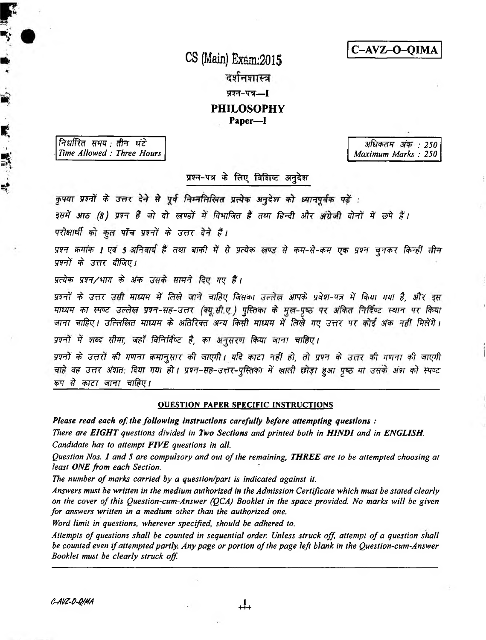C-AVZ-O-QIMA

CS (Main) Exam:2015 दर्शनशास्त्र प्रश्न-पत्र—**[ PHILOSOPHY** 

Paper-I

निर्धारित समय :तीन घंटे Time Allowed: Three Hours

"我们"

÷

अधिकतम अंक : 250 Maximum Marks: 250

प्रश्न-पत्र के लिए विशिष्ट अनुदेश

कृपया प्रश्नों के उत्तर देने से पूर्व निम्नलिखित प्रत्येक अनुदेश को व्यानपूर्वक पढ़ें :

इसमें आठ (8) प्रश्न हैं जो दो खण्डों में विभाजित हैं तथा हिन्दी और अंग्रेजी दोनों में छपे हैं।

परीक्षार्थी को कुल पाँच प्रश्नों के उत्तर देने हैं।

प्रश्न क्रमांक 1 एवं 5 अनिवार्य हैं तथा बाकी में से प्रत्येक खण्ड से कम-से-कम एक प्रश्न चुनकर किन्हीं तीन प्रश्नों के उत्तर दीजिए।

प्रत्येक प्रश्न/भाग के अंक उसके सामने दिए गए हैं।

प्रश्नों के उत्तर उसी माध्यम में लिखे जाने चाहिए जिसका उल्लेख आपके प्रवेश-पत्र में किया गया है, और इस माध्यम का स्पष्ट उल्लेख प्रश्न-सह-उत्तर (क्यू.सी.ए.) पुस्तिका के मुख-पृष्ठ पर अंकित निर्दिष्ट स्थान पर किया जाना चाहिए। उल्लिखित माध्यम के अतिरिक्त अन्य किसी माध्यम में लिखे गए उत्तर पर कोई अंक नहीं मिलेंगे। प्रश्नों में शब्द सीमा, जहाँ विनिर्दिष्ट है, का अनुसरण किया जाना चाहिए।

प्रश्नों के उत्तरों की गणना क्रमानुसार की जाएगी। यदि काटा नहीं हो, तो प्रश्न के उत्तर की गणना की जाएगी चाहे वह उत्तर अंशत: दिया गया हो। प्रश्न-सह-उत्तर-पुस्तिका में खाली छोड़ा हुआ पुष्ठ या उसके अंश को स्पष्ट रूप से काटा जाना चाहिए।

# **OUESTION PAPER SPECIFIC INSTRUCTIONS**

Please read each of the following instructions carefully before attempting questions :

There are EIGHT questions divided in Two Sections and printed both in HINDI and in ENGLISH. Candidate has to attempt FIVE questions in all.

Question Nos. 1 and 5 are compulsory and out of the remaining, THREE are to be attempted choosing at least ONE from each Section.

The number of marks carried by a question/part is indicated against it.

Answers must be written in the medium authorized in the Admission Certificate which must be stated clearly on the cover of this Question-cum-Answer (QCA) Booklet in the space provided. No marks will be given for answers written in a medium other than the authorized one.

Word limit in questions, wherever specified, should be adhered to.

Attempts of questions shall be counted in sequential order. Unless struck off, attempt of a question shall be counted even if attempted partly. Any page or portion of the page left blank in the Question-cum-Answer Booklet must be clearly struck off.

 $\frac{1}{1+1}$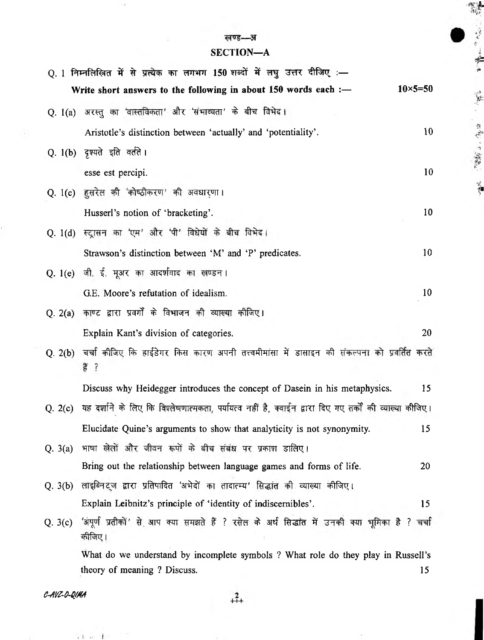# खण्ड—अ

"我们没有"

一直 "我说了。你的 "你

 $\bar{t}$ 

 $\sim$ 

# SECTION-A

|         | Q. 1 निम्नलिखित में से प्रत्येक का लगभग 150 शब्दों में लघु उत्तर दीजिए :—                                           |                 |
|---------|---------------------------------------------------------------------------------------------------------------------|-----------------|
|         | $10\times 5 = 50$<br>Write short answers to the following in about $150$ words each :-                              |                 |
|         | Q. 1(a) अरस्तु का 'वास्तविकता' और 'संभाव्यता' के बीच विभेद।                                                         |                 |
|         | Aristotle's distinction between 'actually' and 'potentiality'.                                                      | 10              |
|         | Q. 1(b) दृश्यते इति वर्तते ।                                                                                        |                 |
|         | esse est percipi.                                                                                                   | 10              |
|         | Q. 1(c) हुसरेल की 'कोष्ठीकरण' की अवधारणा।                                                                           |                 |
|         | Husserl's notion of 'bracketing'.                                                                                   | 10              |
|         | Q. 1(d) स्ट्रासन का 'एम' और 'पी' विधेयों के बीच विभेद।                                                              |                 |
|         | Strawson's distinction between 'M' and 'P' predicates.                                                              | 10              |
|         | Q. 1(e) जी. ई. मूअर का आदर्शवाद का खण्डन।                                                                           |                 |
|         | G.E. Moore's refutation of idealism.                                                                                | 10 <sup>°</sup> |
| Q. 2(a) | काण्ट द्वारा प्रवर्गों के विभाजन की व्याख्या कीजिए।                                                                 |                 |
|         | Explain Kant's division of categories.                                                                              | 20              |
|         | Q. 2(b)  चर्चा कीजिए कि हाईडेगर किस कारण अपनी तत्त्वमीमांसा में  डासाइन  की  संकल्पना  को  प्रवर्तित  करते<br>हैं ? |                 |
|         | Discuss why Heidegger introduces the concept of Dasein in his metaphysics.                                          | 15              |
| Q. 2(c) | यह दर्शाने के लिए कि विश्लेषणात्मकता, पर्यायत्व नहीं है, क्वाईन द्वारा दिए गए तर्कों की व्याल्या कीजिए।             |                 |
|         | Elucidate Quine's arguments to show that analyticity is not synonymity.                                             | 15              |
|         | Q. 3(a) भाषा खेलों और जीवन रूपों के बीच संबंध पर प्रकाश डालिए।                                                      |                 |
|         | Bring out the relationship between language games and forms of life.                                                | 20              |
|         | Q. 3(b) लाइब्निट्ज द्वारा प्रतिपादित 'अभेदों का तादात्म्य' सिद्धांत की व्याख्या कीजिए।                              |                 |
|         | Explain Leibnitz's principle of 'identity of indiscernibles'.                                                       | 15              |
|         | Q. 3(c) 'अपूर्ण प्रतीकों' से आप क्या समझते हैं ? रसेल के अर्थ सिद्धांत में उनकी क्या भूमिका है ? चर्चा<br>कीजिए।    |                 |
|         | What do we understand by incomplete symbols ? What role do they play in Russell's                                   |                 |
|         | theory of meaning ? Discuss.                                                                                        | 15              |

C-AVZ-O-QIMA

 $\rightarrow$   $\sim$   $\rightarrow$   $\sim$ 

 $+2$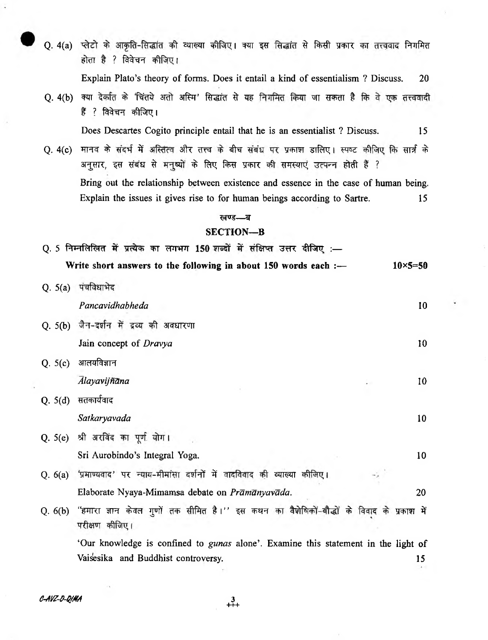Q. 4(a) प्लेटो के आकृति-सिद्धांत की व्याख्या कीजिए। क्या इस सिद्धांत से किसी प्रकार का तत्त्ववाद निगमित होता है ? विवेचन कीजिए।

Explain Plato's theory of forms. Does it entail a kind of essentialism ? Discuss. 20

Q. 4(b) क्या देर्कात के 'चिंतये अतो अस्मि' सिद्धांत से यह निगमित किया जा सकता है कि वे एक तत्त्ववादी हैं ? विवेचन कीजिए।

Does Descartes Cogito principle entail that he is an essentialist ? Discuss. 15

Q. 4(c) मानव के संदर्भ में अस्तित्व और तत्त्व के बीच संबंध पर प्रकाश डालिए। स्पष्ट कीजिए कि सार्त्र के अनुसार, इस संबंध से मनुष्यों के लिए किस प्रकार की समस्याएं उत्पन्न होती हैं ? Bring out the relationship between existence and essence in the case of human being. Explain the issues it gives rise to for human beings according to Sartre. 15

#### खण्ड—ब

### **SECTION—B**

|           | Q. 5 निम्नलिखित में प्रत्येक का लगभग 150 शब्दों में संक्षिप्त उत्तर दीजिए :—                                        |                    |
|-----------|---------------------------------------------------------------------------------------------------------------------|--------------------|
|           | Write short answers to the following in about $150$ words each :-                                                   | $10 \times 5 = 50$ |
| Q. 5(a)   | पंचविधाभेद                                                                                                          |                    |
|           | Pancavidhabheda                                                                                                     | 10                 |
|           | Q. 5(b) जैन-दर्शन में द्रव्य की अवधारणा                                                                             |                    |
|           | Jain concept of Dravya                                                                                              | 10                 |
| Q. $5(c)$ | आलयविज्ञान                                                                                                          |                    |
|           | Alayavijñāna                                                                                                        | 10                 |
| Q. 5(d)   | सतकार्यवाद                                                                                                          |                    |
|           | Satkaryavada                                                                                                        | 10                 |
|           | Q. 5(e) श्री अरविंद का पूर्ण योग।                                                                                   |                    |
|           | Sri Aurobindo's Integral Yoga.                                                                                      | 10                 |
| Q. 6(a)   | 'प्रमाण्यवाद' पर न्याय-मीमांसा दर्शनों में वादविवाद की व्याख्या कीजिए।                                              |                    |
|           | Elaborate Nyaya-Mimamsa debate on <i>Prāmānyavāda</i> .                                                             | 20                 |
|           | Q. 6(b) "हमारा ज्ञान केवल गुणों तक सीमित है।'' इस कथन का वैशेषिकों-बौद्धों के विवाद के प्रकाश में<br>परीक्षण कीजिए। |                    |
|           | 'Our knowledge is confined to gunas alone'. Examine this statement in the light of                                  |                    |
|           | Vaisesika and Buddhist controversy.                                                                                 | 15                 |